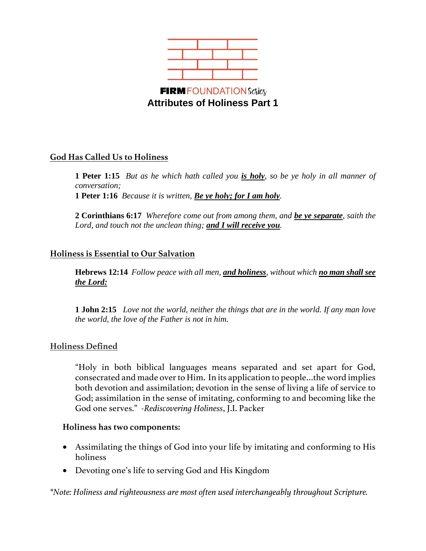

# **God Has Called Us to Holiness**

**1 Peter 1:15** *But as he which hath called you is holy, so be ye holy in all manner of conversation;*  **1 Peter 1:16** *Because it is written, Be ye holy; for I am holy.*

**2 Corinthians 6:17** *Wherefore come out from among them, and be ye separate, saith the Lord, and touch not the unclean thing; and I will receive you.*

## **Holiness is Essential to Our Salvation**

**Hebrews 12:14** *Follow peace with all men, and holiness, without which no man shall see the Lord:*

**1 John 2:15** *Love not the world, neither the things that are in the world. If any man love the world, the love of the Father is not in him.* 

#### **Holiness Defined**

"Holy in both biblical languages means separated and set apart for God, consecrated and made over to Him. In its application to people…the word implies both devotion and assimilation; devotion in the sense of living a life of service to God; assimilation in the sense of imitating, conforming to and becoming like the God one serves." *-Rediscovering Holiness*, J.I. Packer

#### **Holiness has two components:**

- Assimilating the things of God into your life by imitating and conforming to His holiness
- Devoting one's life to serving God and His Kingdom

*\*Note: Holiness and righteousness are most often used interchangeably throughout Scripture.*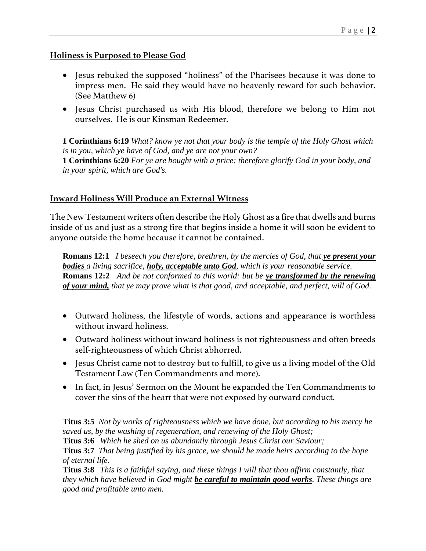## **Holiness is Purposed to Please God**

- Jesus rebuked the supposed "holiness" of the Pharisees because it was done to impress men. He said they would have no heavenly reward for such behavior. (See Matthew 6)
- Jesus Christ purchased us with His blood, therefore we belong to Him not ourselves. He is our Kinsman Redeemer.

**1 Corinthians 6:19** *What? know ye not that your body is the temple of the Holy Ghost which is in you, which ye have of God, and ye are not your own?*  **1 Corinthians 6:20** *For ye are bought with a price: therefore glorify God in your body, and in your spirit, which are God's.*

## **Inward Holiness Will Produce an External Witness**

The New Testament writers often describe the Holy Ghost as a fire that dwells and burns inside of us and just as a strong fire that begins inside a home it will soon be evident to anyone outside the home because it cannot be contained.

**Romans 12:1** *I beseech you therefore, brethren, by the mercies of God, that ye present your bodies a living sacrifice, holy, acceptable unto God, which is your reasonable service.*  **Romans 12:2** *And be not conformed to this world: but be ye transformed by the renewing of your mind, that ye may prove what is that good, and acceptable, and perfect, will of God.*

- Outward holiness, the lifestyle of words, actions and appearance is worthless without inward holiness.
- Outward holiness without inward holiness is not righteousness and often breeds self-righteousness of which Christ abhorred.
- Jesus Christ came not to destroy but to fulfill, to give us a living model of the Old Testament Law (Ten Commandments and more).
- In fact, in Jesus' Sermon on the Mount he expanded the Ten Commandments to cover the sins of the heart that were not exposed by outward conduct.

**Titus 3:5** *Not by works of righteousness which we have done, but according to his mercy he saved us, by the washing of regeneration, and renewing of the Holy Ghost;*

**Titus 3:6** *Which he shed on us abundantly through Jesus Christ our Saviour;*

**Titus 3:7** *That being justified by his grace, we should be made heirs according to the hope of eternal life.*

**Titus 3:8** *This is a faithful saying, and these things I will that thou affirm constantly, that they which have believed in God might be careful to maintain good works. These things are good and profitable unto men.*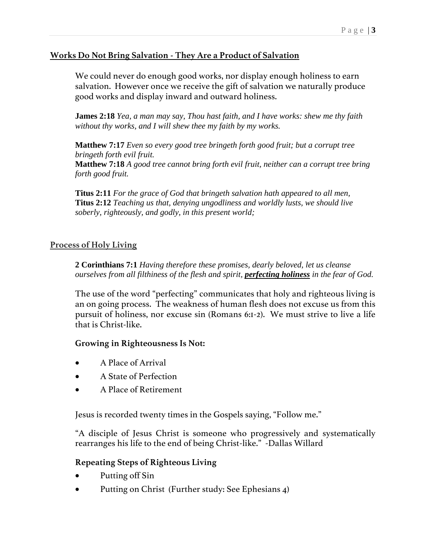# **Works Do Not Bring Salvation - They Are a Product of Salvation**

We could never do enough good works, nor display enough holiness to earn salvation. However once we receive the gift of salvation we naturally produce good works and display inward and outward holiness.

**James 2:18** *Yea, a man may say, Thou hast faith, and I have works: shew me thy faith without thy works, and I will shew thee my faith by my works.*

**Matthew 7:17** *Even so every good tree bringeth forth good fruit; but a corrupt tree bringeth forth evil fruit.* 

**Matthew 7:18** *A good tree cannot bring forth evil fruit, neither can a corrupt tree bring forth good fruit.*

**Titus 2:11** *For the grace of God that bringeth salvation hath appeared to all men,* **Titus 2:12** *Teaching us that, denying ungodliness and worldly lusts, we should live soberly, righteously, and godly, in this present world;*

## **Process of Holy Living**

**2 Corinthians 7:1** *Having therefore these promises, dearly beloved, let us cleanse ourselves from all filthiness of the flesh and spirit, perfecting holiness in the fear of God.*

The use of the word "perfecting" communicates that holy and righteous living is an on going process. The weakness of human flesh does not excuse us from this pursuit of holiness, nor excuse sin (Romans 6:1-2). We must strive to live a life that is Christ-like.

#### **Growing in Righteousness Is Not:**

- A Place of Arrival
- A State of Perfection
- A Place of Retirement

Jesus is recorded twenty times in the Gospels saying, "Follow me."

"A disciple of Jesus Christ is someone who progressively and systematically rearranges his life to the end of being Christ-like." -Dallas Willard

## **Repeating Steps of Righteous Living**

- Putting off Sin
- Putting on Christ (Further study: See Ephesians 4)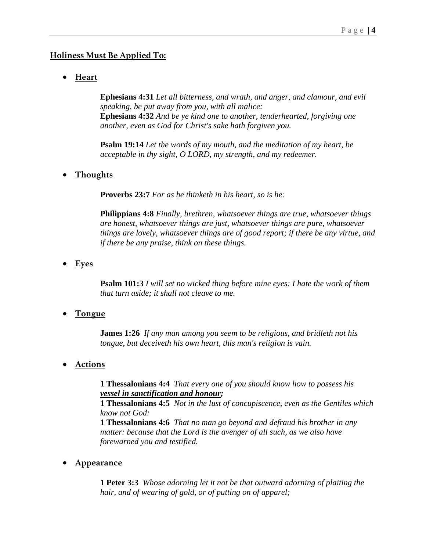## **Holiness Must Be Applied To:**

• **Heart**

**Ephesians 4:31** *Let all bitterness, and wrath, and anger, and clamour, and evil speaking, be put away from you, with all malice:* **Ephesians 4:32** *And be ye kind one to another, tenderhearted, forgiving one another, even as God for Christ's sake hath forgiven you.*

**Psalm 19:14** *Let the words of my mouth, and the meditation of my heart, be acceptable in thy sight, O LORD, my strength, and my redeemer.*

#### • **Thoughts**

**Proverbs 23:7** *For as he thinketh in his heart, so is he:*

**Philippians 4:8** *Finally, brethren, whatsoever things are true, whatsoever things are honest, whatsoever things are just, whatsoever things are pure, whatsoever things are lovely, whatsoever things are of good report; if there be any virtue, and if there be any praise, think on these things.*

• **Eyes** 

**Psalm 101:3** *I will set no wicked thing before mine eyes: I hate the work of them that turn aside; it shall not cleave to me.*

• **Tongue**

**James 1:26** *If any man among you seem to be religious, and bridleth not his tongue, but deceiveth his own heart, this man's religion is vain.*

• **Actions**

**1 Thessalonians 4:4** *That every one of you should know how to possess his vessel in sanctification and honour;*

**1 Thessalonians 4:5** *Not in the lust of concupiscence, even as the Gentiles which know not God:*

**1 Thessalonians 4:6** *That no man go beyond and defraud his brother in any matter: because that the Lord is the avenger of all such, as we also have forewarned you and testified.*

• **Appearance**

**1 Peter 3:3** *Whose adorning let it not be that outward adorning of plaiting the hair, and of wearing of gold, or of putting on of apparel;*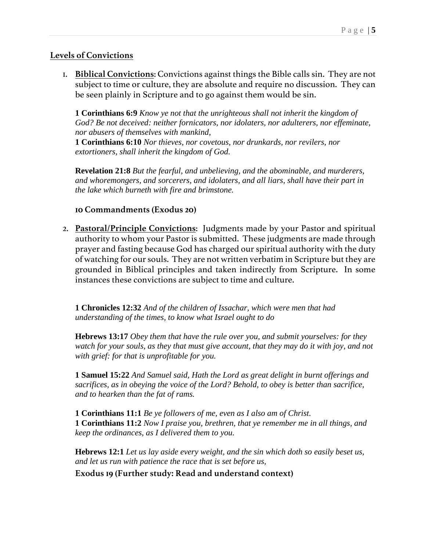## **Levels of Convictions**

1. **Biblical Convictions**: Convictions against things the Bible calls sin. They are not subject to time or culture, they are absolute and require no discussion. They can be seen plainly in Scripture and to go against them would be sin.

**1 Corinthians 6:9** *Know ye not that the unrighteous shall not inherit the kingdom of God? Be not deceived: neither fornicators, nor idolaters, nor adulterers, nor effeminate, nor abusers of themselves with mankind,*

**1 Corinthians 6:10** *Nor thieves, nor covetous, nor drunkards, nor revilers, nor extortioners, shall inherit the kingdom of God.*

**Revelation 21:8** *But the fearful, and unbelieving, and the abominable, and murderers, and whoremongers, and sorcerers, and idolaters, and all liars, shall have their part in the lake which burneth with fire and brimstone.*

#### **10 Commandments (Exodus 20)**

2. **Pastoral/Principle Convictions**: Judgments made by your Pastor and spiritual authority to whom your Pastor is submitted. These judgments are made through prayer and fasting because God has charged our spiritual authority with the duty of watching for our souls. They are not written verbatim in Scripture but they are grounded in Biblical principles and taken indirectly from Scripture. In some instances these convictions are subject to time and culture.

**1 Chronicles 12:32** *And of the children of Issachar, which were men that had understanding of the times, to know what Israel ought to do*

**Hebrews 13:17** *Obey them that have the rule over you, and submit yourselves: for they watch for your souls, as they that must give account, that they may do it with joy, and not with grief: for that is unprofitable for you.*

**1 Samuel 15:22** *And Samuel said, Hath the Lord as great delight in burnt offerings and sacrifices, as in obeying the voice of the Lord? Behold, to obey is better than sacrifice, and to hearken than the fat of rams.*

**1 Corinthians 11:1** *Be ye followers of me, even as I also am of Christ.* **1 Corinthians 11:2** *Now I praise you, brethren, that ye remember me in all things, and keep the ordinances, as I delivered them to you.*

**Hebrews 12:1** *Let us lay aside every weight, and the sin which doth so easily beset us, and let us run with patience the race that is set before us,*

**Exodus 19 (Further study: Read and understand context)**